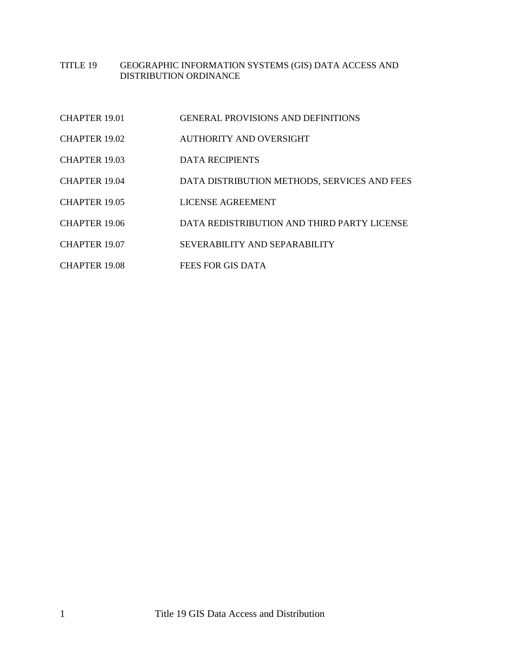## TITLE 19 GEOGRAPHIC INFORMATION SYSTEMS (GIS) DATA ACCESS AND DISTRIBUTION ORDINANCE

| <b>CHAPTER 19.01</b> | <b>GENERAL PROVISIONS AND DEFINITIONS</b>    |
|----------------------|----------------------------------------------|
| CHAPTER 19.02        | AUTHORITY AND OVERSIGHT                      |
| <b>CHAPTER 19.03</b> | <b>DATA RECIPIENTS</b>                       |
| CHAPTER 19.04        | DATA DISTRIBUTION METHODS, SERVICES AND FEES |
| CHAPTER 19.05        | LICENSE AGREEMENT                            |
| CHAPTER 19.06        | DATA REDISTRIBUTION AND THIRD PARTY LICENSE  |
| <b>CHAPTER 19.07</b> | SEVERABILITY AND SEPARABILITY                |
| CHAPTER 19.08        | FEES FOR GIS DATA                            |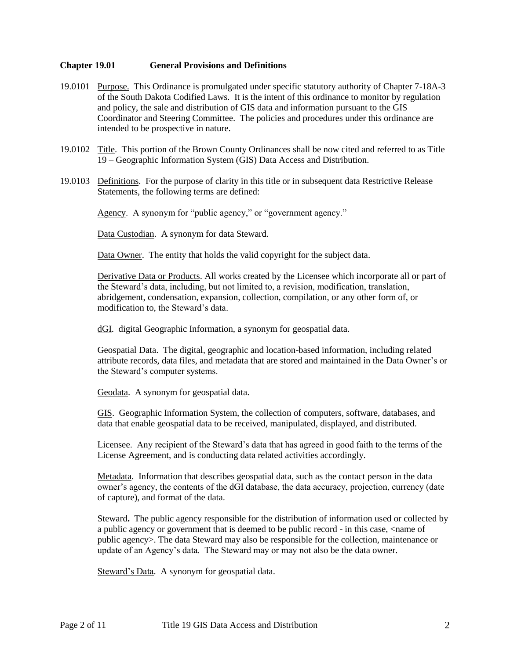#### <span id="page-1-0"></span>**Chapter 19.01 General Provisions and Definitions**

- 19.0101 Purpose. This Ordinance is promulgated under specific statutory authority of Chapter 7-18A-3 of the South Dakota Codified Laws. It is the intent of this ordinance to monitor by regulation and policy, the sale and distribution of GIS data and information pursuant to the GIS Coordinator and Steering Committee. The policies and procedures under this ordinance are intended to be prospective in nature.
- 19.0102 Title. This portion of the Brown County Ordinances shall be now cited and referred to as Title 19 – Geographic Information System (GIS) Data Access and Distribution.
- 19.0103 Definitions. For the purpose of clarity in this title or in subsequent data Restrictive Release Statements, the following terms are defined:

Agency. A synonym for "public agency," or "government agency."

Data Custodian. A synonym for data Steward.

Data Owner. The entity that holds the valid copyright for the subject data.

Derivative Data or Products. All works created by the Licensee which incorporate all or part of the Steward's data, including, but not limited to, a revision, modification, translation, abridgement, condensation, expansion, collection, compilation, or any other form of, or modification to, the Steward's data.

dGI. digital Geographic Information, a synonym for geospatial data.

Geospatial Data. The digital, geographic and location-based information, including related attribute records, data files, and metadata that are stored and maintained in the Data Owner's or the Steward's computer systems.

Geodata. A synonym for geospatial data.

GIS. Geographic Information System, the collection of computers, software, databases, and data that enable geospatial data to be received, manipulated, displayed, and distributed.

Licensee. Any recipient of the Steward's data that has agreed in good faith to the terms of the License Agreement, and is conducting data related activities accordingly.

Metadata. Information that describes geospatial data, such as the contact person in the data owner's agency, the contents of the dGI database, the data accuracy, projection, currency (date of capture), and format of the data.

Steward**.** The public agency responsible for the distribution of information used or collected by a public agency or government that is deemed to be public record - in this case, <name of public agency>. The data Steward may also be responsible for the collection, maintenance or update of an Agency's data. The Steward may or may not also be the data owner.

Steward's Data. A synonym for geospatial data.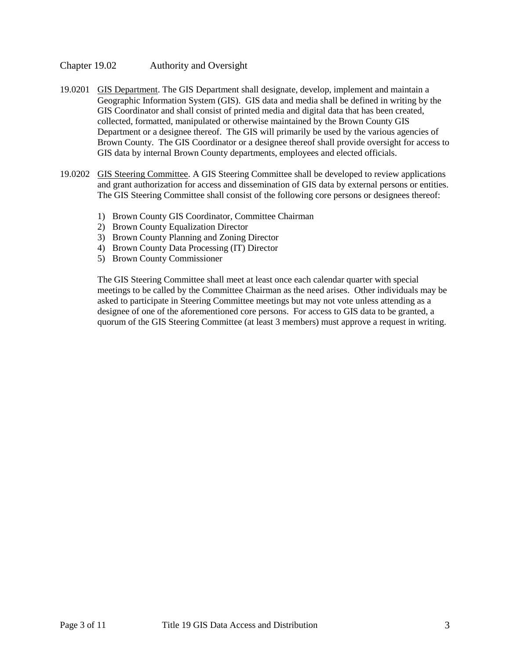## <span id="page-2-0"></span>Chapter 19.02 Authority and Oversight

- 19.0201 GIS Department. The GIS Department shall designate, develop, implement and maintain a Geographic Information System (GIS). GIS data and media shall be defined in writing by the GIS Coordinator and shall consist of printed media and digital data that has been created, collected, formatted, manipulated or otherwise maintained by the Brown County GIS Department or a designee thereof. The GIS will primarily be used by the various agencies of Brown County. The GIS Coordinator or a designee thereof shall provide oversight for access to GIS data by internal Brown County departments, employees and elected officials.
- 19.0202 GIS Steering Committee. A GIS Steering Committee shall be developed to review applications and grant authorization for access and dissemination of GIS data by external persons or entities. The GIS Steering Committee shall consist of the following core persons or designees thereof:
	- 1) Brown County GIS Coordinator, Committee Chairman
	- 2) Brown County Equalization Director
	- 3) Brown County Planning and Zoning Director
	- 4) Brown County Data Processing (IT) Director
	- 5) Brown County Commissioner

The GIS Steering Committee shall meet at least once each calendar quarter with special meetings to be called by the Committee Chairman as the need arises. Other individuals may be asked to participate in Steering Committee meetings but may not vote unless attending as a designee of one of the aforementioned core persons. For access to GIS data to be granted, a quorum of the GIS Steering Committee (at least 3 members) must approve a request in writing.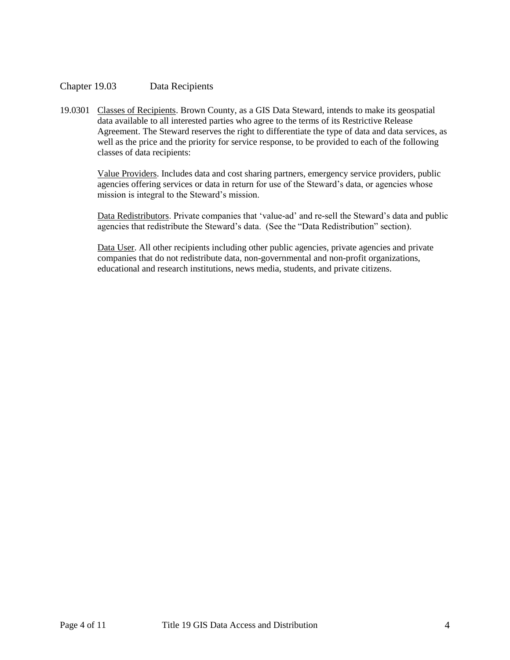# <span id="page-3-0"></span>Chapter 19.03 Data Recipients

19.0301 Classes of Recipients. Brown County, as a GIS Data Steward, intends to make its geospatial data available to all interested parties who agree to the terms of its Restrictive Release Agreement. The Steward reserves the right to differentiate the type of data and data services, as well as the price and the priority for service response, to be provided to each of the following classes of data recipients:

Value Providers. Includes data and cost sharing partners, emergency service providers, public agencies offering services or data in return for use of the Steward's data, or agencies whose mission is integral to the Steward's mission.

Data Redistributors. Private companies that 'value-ad' and re-sell the Steward's data and public agencies that redistribute the Steward's data. (See the "Data Redistribution" section).

Data User. All other recipients including other public agencies, private agencies and private companies that do not redistribute data, non-governmental and non-profit organizations, educational and research institutions, news media, students, and private citizens.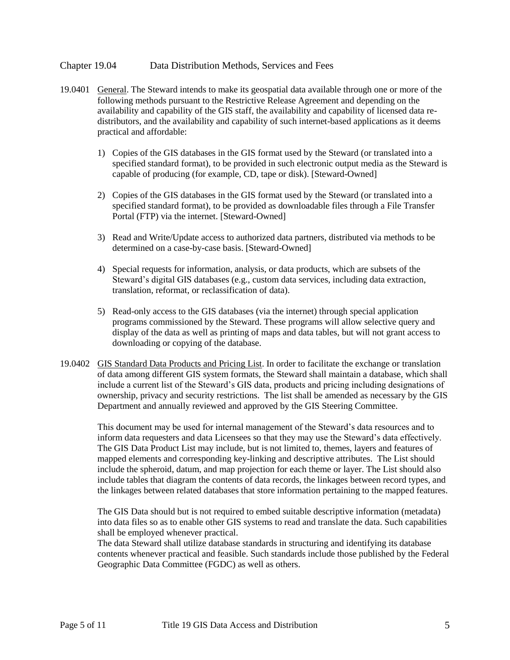#### <span id="page-4-0"></span>Chapter 19.04 Data Distribution Methods, Services and Fees

- 19.0401 General. The Steward intends to make its geospatial data available through one or more of the following methods pursuant to the Restrictive Release Agreement and depending on the availability and capability of the GIS staff, the availability and capability of licensed data redistributors, and the availability and capability of such internet-based applications as it deems practical and affordable:
	- 1) Copies of the GIS databases in the GIS format used by the Steward (or translated into a specified standard format), to be provided in such electronic output media as the Steward is capable of producing (for example, CD, tape or disk). [Steward-Owned]
	- 2) Copies of the GIS databases in the GIS format used by the Steward (or translated into a specified standard format), to be provided as downloadable files through a File Transfer Portal (FTP) via the internet. [Steward-Owned]
	- 3) Read and Write/Update access to authorized data partners, distributed via methods to be determined on a case-by-case basis. [Steward-Owned]
	- 4) Special requests for information, analysis, or data products, which are subsets of the Steward's digital GIS databases (e.g., custom data services, including data extraction, translation, reformat, or reclassification of data).
	- 5) Read-only access to the GIS databases (via the internet) through special application programs commissioned by the Steward. These programs will allow selective query and display of the data as well as printing of maps and data tables, but will not grant access to downloading or copying of the database.
- 19.0402 GIS Standard Data Products and Pricing List. In order to facilitate the exchange or translation of data among different GIS system formats, the Steward shall maintain a database, which shall include a current list of the Steward's GIS data, products and pricing including designations of ownership, privacy and security restrictions. The list shall be amended as necessary by the GIS Department and annually reviewed and approved by the GIS Steering Committee.

This document may be used for internal management of the Steward's data resources and to inform data requesters and data Licensees so that they may use the Steward's data effectively. The GIS Data Product List may include, but is not limited to, themes, layers and features of mapped elements and corresponding key-linking and descriptive attributes. The List should include the spheroid, datum, and map projection for each theme or layer. The List should also include tables that diagram the contents of data records, the linkages between record types, and the linkages between related databases that store information pertaining to the mapped features.

The GIS Data should but is not required to embed suitable descriptive information (metadata) into data files so as to enable other GIS systems to read and translate the data. Such capabilities shall be employed whenever practical.

The data Steward shall utilize database standards in structuring and identifying its database contents whenever practical and feasible. Such standards include those published by the Federal Geographic Data Committee (FGDC) as well as others.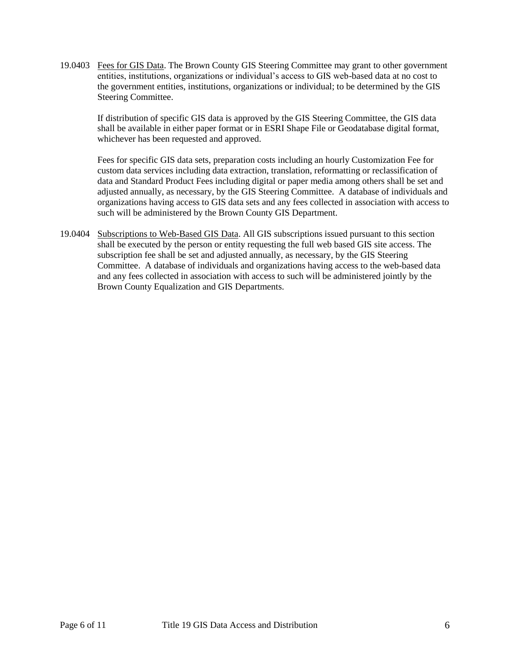19.0403 Fees for GIS Data. The Brown County GIS Steering Committee may grant to other government entities, institutions, organizations or individual's access to GIS web-based data at no cost to the government entities, institutions, organizations or individual; to be determined by the GIS Steering Committee.

If distribution of specific GIS data is approved by the GIS Steering Committee, the GIS data shall be available in either paper format or in ESRI Shape File or Geodatabase digital format, whichever has been requested and approved.

Fees for specific GIS data sets, preparation costs including an hourly Customization Fee for custom data services including data extraction, translation, reformatting or reclassification of data and Standard Product Fees including digital or paper media among others shall be set and adjusted annually, as necessary, by the GIS Steering Committee. A database of individuals and organizations having access to GIS data sets and any fees collected in association with access to such will be administered by the Brown County GIS Department.

<span id="page-5-0"></span>19.0404 Subscriptions to Web-Based GIS Data. All GIS subscriptions issued pursuant to this section shall be executed by the person or entity requesting the full web based GIS site access. The subscription fee shall be set and adjusted annually, as necessary, by the GIS Steering Committee. A database of individuals and organizations having access to the web-based data and any fees collected in association with access to such will be administered jointly by the Brown County Equalization and GIS Departments.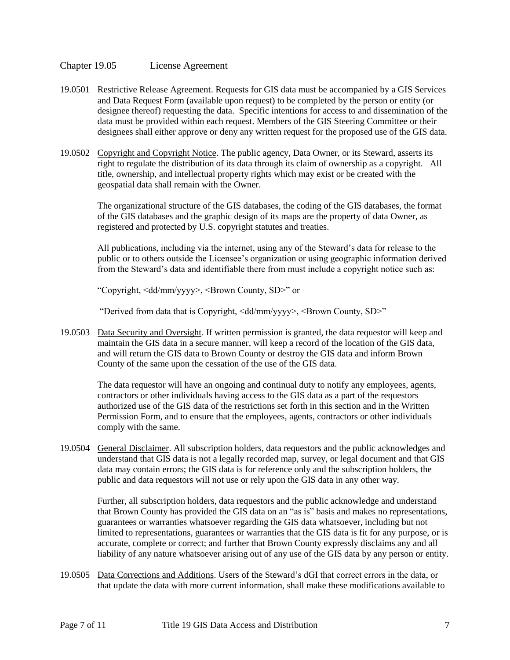#### Chapter 19.05 License Agreement

- 19.0501 Restrictive Release Agreement. Requests for GIS data must be accompanied by a GIS Services and Data Request Form (available upon request) to be completed by the person or entity (or designee thereof) requesting the data. Specific intentions for access to and dissemination of the data must be provided within each request. Members of the GIS Steering Committee or their designees shall either approve or deny any written request for the proposed use of the GIS data.
- 19.0502 Copyright and Copyright Notice. The public agency, Data Owner, or its Steward, asserts its right to regulate the distribution of its data through its claim of ownership as a copyright. All title, ownership, and intellectual property rights which may exist or be created with the geospatial data shall remain with the Owner.

The organizational structure of the GIS databases, the coding of the GIS databases, the format of the GIS databases and the graphic design of its maps are the property of data Owner, as registered and protected by U.S. copyright statutes and treaties.

All publications, including via the internet, using any of the Steward's data for release to the public or to others outside the Licensee's organization or using geographic information derived from the Steward's data and identifiable there from must include a copyright notice such as:

"Copyright, <dd/mm/yyyy>, <Brown County, SD>" or

"Derived from data that is Copyright, <dd/mm/yyyy>, <Brown County, SD>"

19.0503 Data Security and Oversight. If written permission is granted, the data requestor will keep and maintain the GIS data in a secure manner, will keep a record of the location of the GIS data, and will return the GIS data to Brown County or destroy the GIS data and inform Brown County of the same upon the cessation of the use of the GIS data.

The data requestor will have an ongoing and continual duty to notify any employees, agents, contractors or other individuals having access to the GIS data as a part of the requestors authorized use of the GIS data of the restrictions set forth in this section and in the Written Permission Form, and to ensure that the employees, agents, contractors or other individuals comply with the same.

19.0504 General Disclaimer. All subscription holders, data requestors and the public acknowledges and understand that GIS data is not a legally recorded map, survey, or legal document and that GIS data may contain errors; the GIS data is for reference only and the subscription holders, the public and data requestors will not use or rely upon the GIS data in any other way.

Further, all subscription holders, data requestors and the public acknowledge and understand that Brown County has provided the GIS data on an "as is" basis and makes no representations, guarantees or warranties whatsoever regarding the GIS data whatsoever, including but not limited to representations, guarantees or warranties that the GIS data is fit for any purpose, or is accurate, complete or correct; and further that Brown County expressly disclaims any and all liability of any nature whatsoever arising out of any use of the GIS data by any person or entity.

19.0505 Data Corrections and Additions. Users of the Steward's dGI that correct errors in the data, or that update the data with more current information, shall make these modifications available to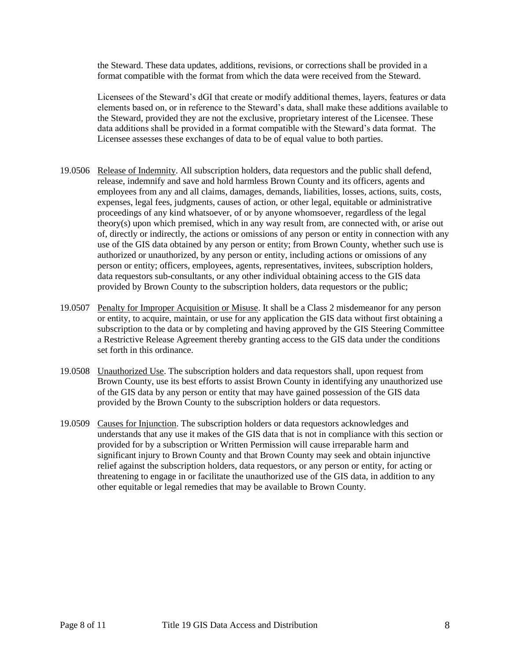the Steward. These data updates, additions, revisions, or corrections shall be provided in a format compatible with the format from which the data were received from the Steward.

Licensees of the Steward's dGI that create or modify additional themes, layers, features or data elements based on, or in reference to the Steward's data, shall make these additions available to the Steward, provided they are not the exclusive, proprietary interest of the Licensee. These data additions shall be provided in a format compatible with the Steward's data format. The Licensee assesses these exchanges of data to be of equal value to both parties.

- 19.0506 Release of Indemnity. All subscription holders, data requestors and the public shall defend, release, indemnify and save and hold harmless Brown County and its officers, agents and employees from any and all claims, damages, demands, liabilities, losses, actions, suits, costs, expenses, legal fees, judgments, causes of action, or other legal, equitable or administrative proceedings of any kind whatsoever, of or by anyone whomsoever, regardless of the legal theory(s) upon which premised, which in any way result from, are connected with, or arise out of, directly or indirectly, the actions or omissions of any person or entity in connection with any use of the GIS data obtained by any person or entity; from Brown County, whether such use is authorized or unauthorized, by any person or entity, including actions or omissions of any person or entity; officers, employees, agents, representatives, invitees, subscription holders, data requestors sub-consultants, or any other individual obtaining access to the GIS data provided by Brown County to the subscription holders, data requestors or the public;
- 19.0507 Penalty for Improper Acquisition or Misuse. It shall be a Class 2 misdemeanor for any person or entity, to acquire, maintain, or use for any application the GIS data without first obtaining a subscription to the data or by completing and having approved by the GIS Steering Committee a Restrictive Release Agreement thereby granting access to the GIS data under the conditions set forth in this ordinance.
- 19.0508 Unauthorized Use. The subscription holders and data requestors shall, upon request from Brown County, use its best efforts to assist Brown County in identifying any unauthorized use of the GIS data by any person or entity that may have gained possession of the GIS data provided by the Brown County to the subscription holders or data requestors.
- 19.0509 Causes for Injunction. The subscription holders or data requestors acknowledges and understands that any use it makes of the GIS data that is not in compliance with this section or provided for by a subscription or Written Permission will cause irreparable harm and significant injury to Brown County and that Brown County may seek and obtain injunctive relief against the subscription holders, data requestors, or any person or entity, for acting or threatening to engage in or facilitate the unauthorized use of the GIS data, in addition to any other equitable or legal remedies that may be available to Brown County.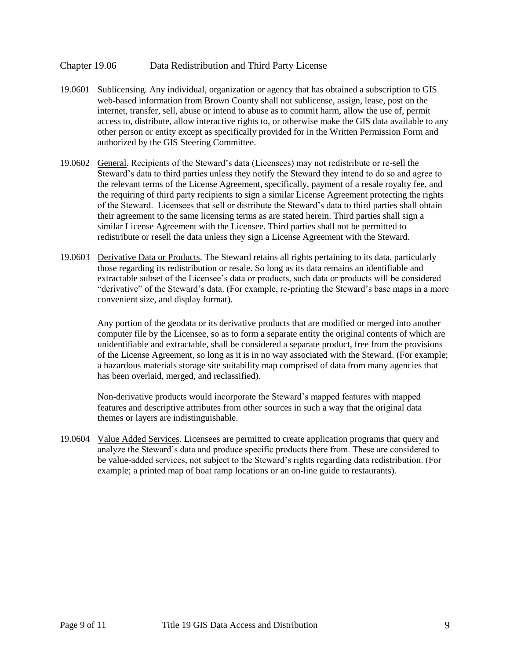## <span id="page-8-0"></span>Chapter 19.06 Data Redistribution and Third Party License

- 19.0601 Sublicensing. Any individual, organization or agency that has obtained a subscription to GIS web-based information from Brown County shall not sublicense, assign, lease, post on the internet, transfer, sell, abuse or intend to abuse as to commit harm, allow the use of, permit access to, distribute, allow interactive rights to, or otherwise make the GIS data available to any other person or entity except as specifically provided for in the Written Permission Form and authorized by the GIS Steering Committee.
- 19.0602 General. Recipients of the Steward's data (Licensees) may not redistribute or re-sell the Steward's data to third parties unless they notify the Steward they intend to do so and agree to the relevant terms of the License Agreement, specifically, payment of a resale royalty fee, and the requiring of third party recipients to sign a similar License Agreement protecting the rights of the Steward. Licensees that sell or distribute the Steward's data to third parties shall obtain their agreement to the same licensing terms as are stated herein. Third parties shall sign a similar License Agreement with the Licensee. Third parties shall not be permitted to redistribute or resell the data unless they sign a License Agreement with the Steward.
- 19.0603 Derivative Data or Products. The Steward retains all rights pertaining to its data, particularly those regarding its redistribution or resale. So long as its data remains an identifiable and extractable subset of the Licensee's data or products, such data or products will be considered "derivative" of the Steward's data. (For example, re-printing the Steward's base maps in a more convenient size, and display format).

Any portion of the geodata or its derivative products that are modified or merged into another computer file by the Licensee, so as to form a separate entity the original contents of which are unidentifiable and extractable, shall be considered a separate product, free from the provisions of the License Agreement, so long as it is in no way associated with the Steward. (For example; a hazardous materials storage site suitability map comprised of data from many agencies that has been overlaid, merged, and reclassified).

Non-derivative products would incorporate the Steward's mapped features with mapped features and descriptive attributes from other sources in such a way that the original data themes or layers are indistinguishable.

19.0604 Value Added Services. Licensees are permitted to create application programs that query and analyze the Steward's data and produce specific products there from. These are considered to be value-added services, not subject to the Steward's rights regarding data redistribution. (For example; a printed map of boat ramp locations or an on-line guide to restaurants).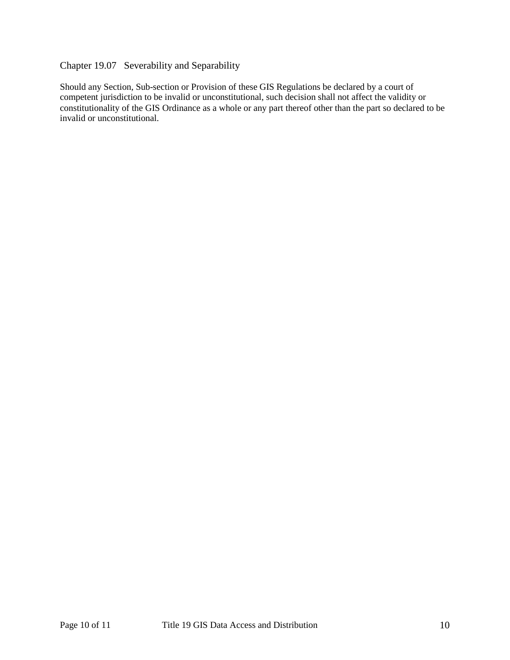# <span id="page-9-0"></span>Chapter 19.07 Severability and Separability

Should any Section, Sub-section or Provision of these GIS Regulations be declared by a court of competent jurisdiction to be invalid or unconstitutional, such decision shall not affect the validity or constitutionality of the GIS Ordinance as a whole or any part thereof other than the part so declared to be invalid or unconstitutional.